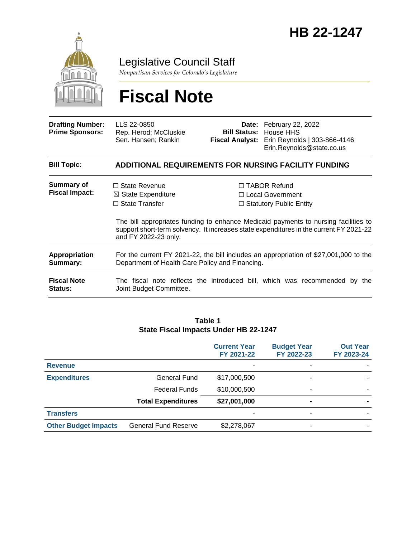

Legislative Council Staff

*Nonpartisan Services for Colorado's Legislature*

# **Fiscal Note**

| <b>Drafting Number:</b><br><b>Prime Sponsors:</b> | LLS 22-0850<br>Rep. Herod; McCluskie<br>Sen. Hansen; Rankin                                                                              |  | <b>Date:</b> February 22, 2022<br><b>Bill Status:</b> House HHS<br>Fiscal Analyst: Erin Reynolds   303-866-4146<br>Erin.Reynolds@state.co.us                                                                                                                      |  |  |
|---------------------------------------------------|------------------------------------------------------------------------------------------------------------------------------------------|--|-------------------------------------------------------------------------------------------------------------------------------------------------------------------------------------------------------------------------------------------------------------------|--|--|
| <b>Bill Topic:</b>                                | <b>ADDITIONAL REQUIREMENTS FOR NURSING FACILITY FUNDING</b>                                                                              |  |                                                                                                                                                                                                                                                                   |  |  |
| <b>Summary of</b><br><b>Fiscal Impact:</b>        | $\Box$ State Revenue<br>$\boxtimes$ State Expenditure<br>$\Box$ State Transfer<br>and FY 2022-23 only.                                   |  | $\Box$ TABOR Refund<br>$\Box$ Local Government<br>$\Box$ Statutory Public Entity<br>The bill appropriates funding to enhance Medicaid payments to nursing facilities to<br>support short-term solvency. It increases state expenditures in the current FY 2021-22 |  |  |
| Appropriation<br>Summary:                         | For the current FY 2021-22, the bill includes an appropriation of \$27,001,000 to the<br>Department of Health Care Policy and Financing. |  |                                                                                                                                                                                                                                                                   |  |  |
| <b>Fiscal Note</b><br><b>Status:</b>              | Joint Budget Committee.                                                                                                                  |  | The fiscal note reflects the introduced bill, which was recommended by<br>the                                                                                                                                                                                     |  |  |

#### **Table 1 State Fiscal Impacts Under HB 22-1247**

|                             |                             | <b>Current Year</b><br>FY 2021-22 | <b>Budget Year</b><br>FY 2022-23 | <b>Out Year</b><br>FY 2023-24 |
|-----------------------------|-----------------------------|-----------------------------------|----------------------------------|-------------------------------|
| <b>Revenue</b>              |                             |                                   | -                                |                               |
| <b>Expenditures</b>         | <b>General Fund</b>         | \$17,000,500                      |                                  |                               |
|                             | <b>Federal Funds</b>        | \$10,000,500                      | ۰                                |                               |
|                             | <b>Total Expenditures</b>   | \$27,001,000                      | $\blacksquare$                   |                               |
| <b>Transfers</b>            |                             |                                   | -                                |                               |
| <b>Other Budget Impacts</b> | <b>General Fund Reserve</b> | \$2,278,067                       |                                  |                               |